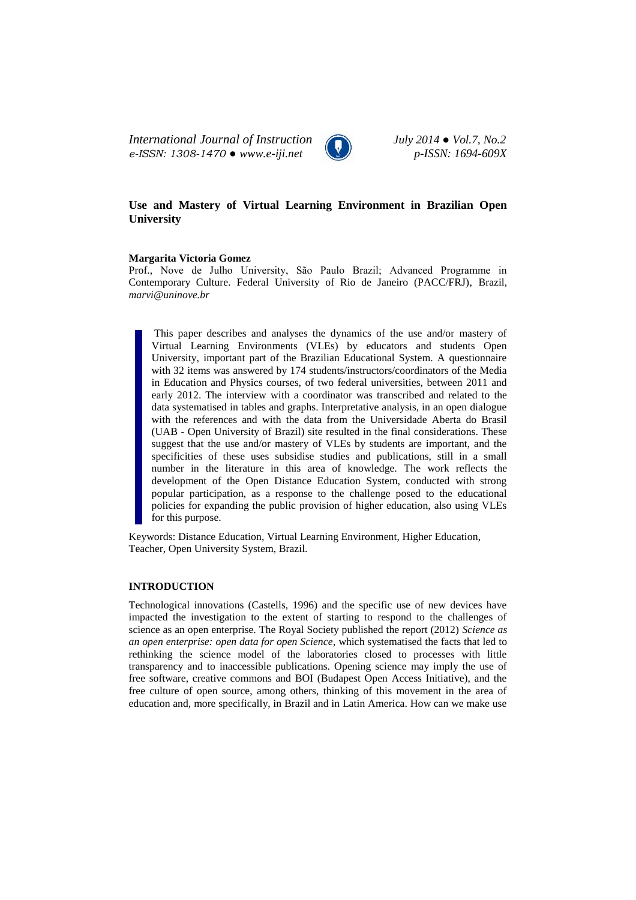*International Journal of Instruction July 2014 ● Vol.7, No.2 e-ISSN: 1308-1470 ● www.e-iji.net p-ISSN: 1694-609X*



# **Use and Mastery of Virtual Learning Environment in Brazilian Open University**

#### **Margarita Victoria Gomez**

Prof., Nove de Julho University, São Paulo Brazil; Advanced Programme in Contemporary Culture. Federal University of Rio de Janeiro (PACC/FRJ), Brazil, *marvi@uninove.br*

This paper describes and analyses the dynamics of the use and/or mastery of Virtual Learning Environments (VLEs) by educators and students Open University, important part of the Brazilian Educational System. A questionnaire with 32 items was answered by 174 students/instructors/coordinators of the Media in Education and Physics courses, of two federal universities, between 2011 and early 2012. The interview with a coordinator was transcribed and related to the data systematised in tables and graphs. Interpretative analysis, in an open dialogue with the references and with the data from the Universidade Aberta do Brasil (UAB - Open University of Brazil) site resulted in the final considerations. These suggest that the use and/or mastery of VLEs by students are important, and the specificities of these uses subsidise studies and publications, still in a small number in the literature in this area of knowledge. The work reflects the development of the Open Distance Education System, conducted with strong popular participation, as a response to the challenge posed to the educational policies for expanding the public provision of higher education, also using VLEs for this purpose.

Keywords: Distance Education, Virtual Learning Environment, Higher Education, Teacher, Open University System, Brazil.

# **INTRODUCTION**

Technological innovations (Castells, 1996) and the specific use of new devices have impacted the investigation to the extent of starting to respond to the challenges of science as an open enterprise. The Royal Society published the report (2012) *Science as an open enterprise: open data for open Science*, which systematised the facts that led to rethinking the science model of the laboratories closed to processes with little transparency and to inaccessible publications. Opening science may imply the use of free software, creative commons and BOI (Budapest Open Access Initiative), and the free culture of open source, among others, thinking of this movement in the area of education and, more specifically, in Brazil and in Latin America. How can we make use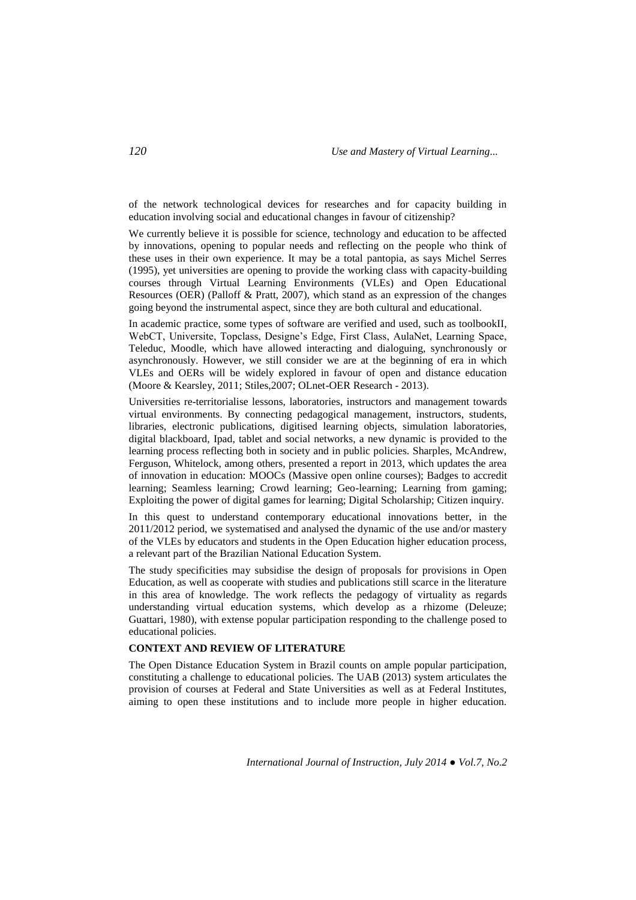of the network technological devices for researches and for capacity building in education involving social and educational changes in favour of citizenship?

We currently believe it is possible for science, technology and education to be affected by innovations, opening to popular needs and reflecting on the people who think of these uses in their own experience. It may be a total pantopia, as says Michel Serres (1995), yet universities are opening to provide the working class with capacity-building courses through Virtual Learning Environments (VLEs) and Open Educational Resources (OER) (Palloff & Pratt, 2007), which stand as an expression of the changes going beyond the instrumental aspect, since they are both cultural and educational.

In academic practice, some types of software are verified and used, such as toolbookII, WebCT, Universite, Topclass, Designe's Edge, First Class, AulaNet, Learning Space, Teleduc, Moodle, which have allowed interacting and dialoguing, synchronously or asynchronously. However, we still consider we are at the beginning of era in which VLEs and OERs will be widely explored in favour of open and distance education (Moore & Kearsley, 2011; Stiles,2007; OLnet-OER Research - 2013).

Universities re-territorialise lessons, laboratories, instructors and management towards virtual environments. By connecting pedagogical management, instructors, students, libraries, electronic publications, digitised learning objects, simulation laboratories, digital blackboard, Ipad, tablet and social networks, a new dynamic is provided to the learning process reflecting both in society and in public policies. Sharples, McAndrew, Ferguson, Whitelock, among others, presented a report in 2013, which updates the area of innovation in education: MOOCs (Massive open online courses); Badges to accredit learning; Seamless learning; Crowd learning; Geo-learning; Learning from gaming; Exploiting the power of digital games for learning; Digital Scholarship; Citizen inquiry.

In this quest to understand contemporary educational innovations better, in the 2011/2012 period, we systematised and analysed the dynamic of the use and/or mastery of the VLEs by educators and students in the Open Education higher education process, a relevant part of the Brazilian National Education System.

The study specificities may subsidise the design of proposals for provisions in Open Education, as well as cooperate with studies and publications still scarce in the literature in this area of knowledge. The work reflects the pedagogy of virtuality as regards understanding virtual education systems, which develop as a rhizome (Deleuze; Guattari, 1980), with extense popular participation responding to the challenge posed to educational policies.

# **CONTEXT AND REVIEW OF LITERATURE**

The Open Distance Education System in Brazil counts on ample popular participation, constituting a challenge to educational policies. The UAB (2013) system articulates the provision of courses at Federal and State Universities as well as at Federal Institutes, aiming to open these institutions and to include more people in higher education.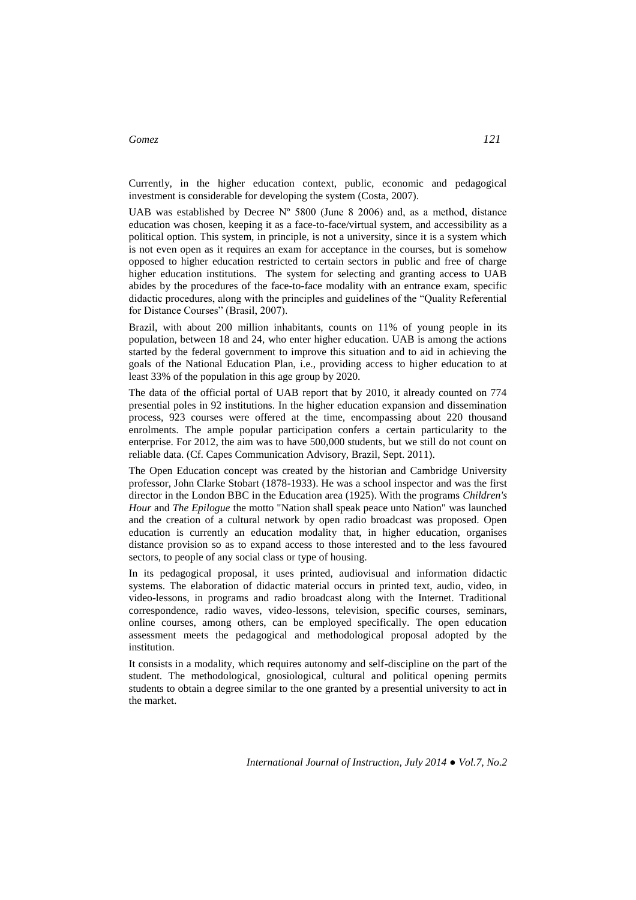Currently, in the higher education context, public, economic and pedagogical investment is considerable for developing the system (Costa, 2007).

UAB was established by Decree  $N^{\circ}$  5800 (June 8 2006) and, as a method, distance education was chosen, keeping it as a face-to-face/virtual system, and accessibility as a political option. This system, in principle, is not a university, since it is a system which is not even open as it requires an exam for acceptance in the courses, but is somehow opposed to higher education restricted to certain sectors in public and free of charge higher education institutions. The system for selecting and granting access to UAB abides by the procedures of the face-to-face modality with an entrance exam, specific didactic procedures, along with the principles and guidelines of the "Quality Referential for Distance Courses" (Brasil, 2007).

Brazil, with about 200 million inhabitants, counts on 11% of young people in its population, between 18 and 24, who enter higher education. UAB is among the actions started by the federal government to improve this situation and to aid in achieving the goals of the National Education Plan, i.e., providing access to higher education to at least 33% of the population in this age group by 2020.

The data of the official portal of UAB report that by 2010, it already counted on 774 presential poles in 92 institutions. In the higher education expansion and dissemination process, 923 courses were offered at the time, encompassing about 220 thousand enrolments. The ample popular participation confers a certain particularity to the enterprise. For 2012, the aim was to have 500,000 students, but we still do not count on reliable data. (Cf. Capes Communication Advisory, Brazil, Sept. 2011).

The Open Education concept was created by the historian and Cambridge University professor, John Clarke Stobart (1878-1933). He was a school inspector and was the first director in the London BBC in the Education area (1925). With the programs *Children's Hour* and *The Epilogue* the motto "Nation shall speak peace unto Nation" was launched and the creation of a cultural network by open radio broadcast was proposed. Open education is currently an education modality that, in higher education, organises distance provision so as to expand access to those interested and to the less favoured sectors, to people of any social class or type of housing.

In its pedagogical proposal, it uses printed, audiovisual and information didactic systems. The elaboration of didactic material occurs in printed text, audio, video, in video-lessons, in programs and radio broadcast along with the Internet. Traditional correspondence, radio waves, video-lessons, television, specific courses, seminars, online courses, among others, can be employed specifically. The open education assessment meets the pedagogical and methodological proposal adopted by the institution.

It consists in a modality, which requires autonomy and self-discipline on the part of the student. The methodological, gnosiological, cultural and political opening permits students to obtain a degree similar to the one granted by a presential university to act in the market.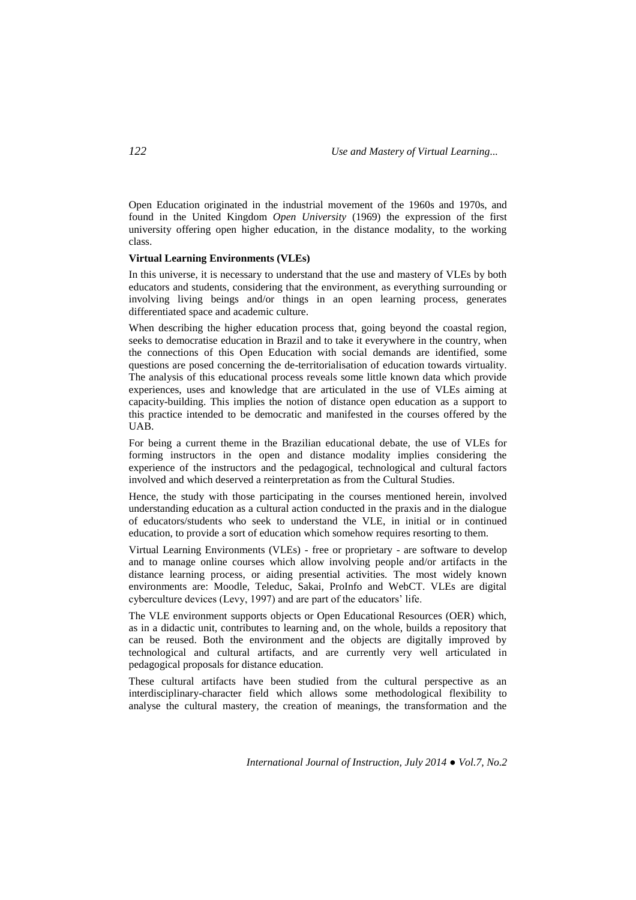Open Education originated in the industrial movement of the 1960s and 1970s, and found in the United Kingdom *Open University* (1969) the expression of the first university offering open higher education, in the distance modality, to the working class.

#### **Virtual Learning Environments (VLEs)**

In this universe, it is necessary to understand that the use and mastery of VLEs by both educators and students, considering that the environment, as everything surrounding or involving living beings and/or things in an open learning process, generates differentiated space and academic culture.

When describing the higher education process that, going beyond the coastal region, seeks to democratise education in Brazil and to take it everywhere in the country, when the connections of this Open Education with social demands are identified, some questions are posed concerning the de-territorialisation of education towards virtuality. The analysis of this educational process reveals some little known data which provide experiences, uses and knowledge that are articulated in the use of VLEs aiming at capacity-building. This implies the notion of distance open education as a support to this practice intended to be democratic and manifested in the courses offered by the UAB.

For being a current theme in the Brazilian educational debate, the use of VLEs for forming instructors in the open and distance modality implies considering the experience of the instructors and the pedagogical, technological and cultural factors involved and which deserved a reinterpretation as from the Cultural Studies.

Hence, the study with those participating in the courses mentioned herein, involved understanding education as a cultural action conducted in the praxis and in the dialogue of educators/students who seek to understand the VLE, in initial or in continued education, to provide a sort of education which somehow requires resorting to them.

Virtual Learning Environments (VLEs) - free or proprietary - are software to develop and to manage online courses which allow involving people and/or artifacts in the distance learning process, or aiding presential activities. The most widely known environments are: Moodle, Teleduc, Sakai, ProInfo and WebCT. VLEs are digital cyberculture devices (Levy, 1997) and are part of the educators' life.

The VLE environment supports objects or Open Educational Resources (OER) which, as in a didactic unit, contributes to learning and, on the whole, builds a repository that can be reused. Both the environment and the objects are digitally improved by technological and cultural artifacts, and are currently very well articulated in pedagogical proposals for distance education.

These cultural artifacts have been studied from the cultural perspective as an interdisciplinary-character field which allows some methodological flexibility to analyse the cultural mastery, the creation of meanings, the transformation and the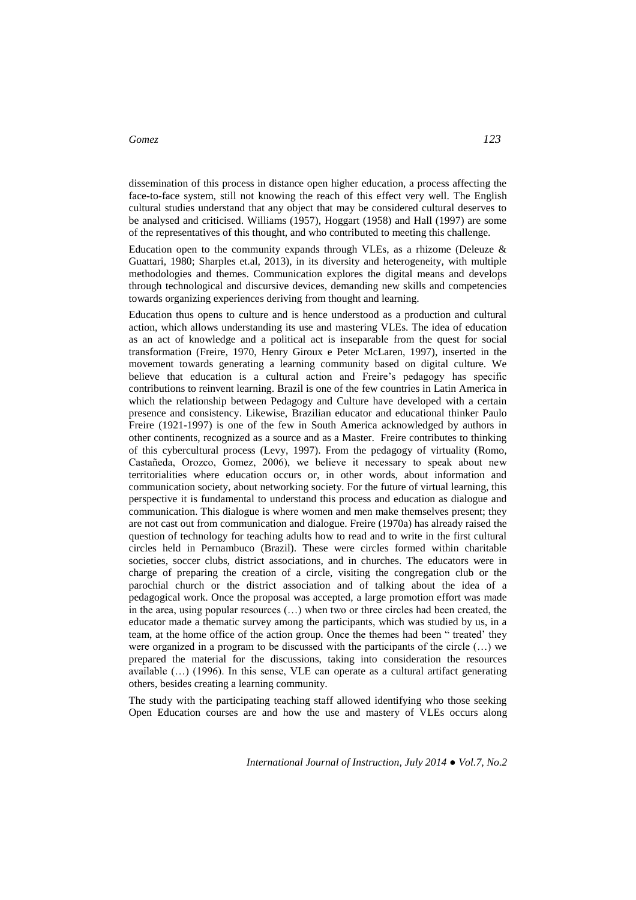dissemination of this process in distance open higher education, a process affecting the face-to-face system, still not knowing the reach of this effect very well. The English cultural studies understand that any object that may be considered cultural deserves to be analysed and criticised. Williams (1957), Hoggart (1958) and Hall (1997) are some of the representatives of this thought, and who contributed to meeting this challenge.

Education open to the community expands through VLEs, as a rhizome (Deleuze  $\&$ Guattari, 1980; Sharples et.al, 2013), in its diversity and heterogeneity, with multiple methodologies and themes. Communication explores the digital means and develops through technological and discursive devices, demanding new skills and competencies towards organizing experiences deriving from thought and learning.

Education thus opens to culture and is hence understood as a production and cultural action, which allows understanding its use and mastering VLEs. The idea of education as an act of knowledge and a political act is inseparable from the quest for social transformation (Freire, 1970, Henry Giroux e Peter McLaren, 1997), inserted in the movement towards generating a learning community based on digital culture. We believe that education is a cultural action and Freire's pedagogy has specific contributions to reinvent learning. Brazil is one of the few countries in Latin America in which the relationship between Pedagogy and Culture have developed with a certain presence and consistency. Likewise, Brazilian educator and educational thinker Paulo Freire (1921-1997) is one of the few in South America acknowledged by authors in other continents, recognized as a source and as a Master. Freire contributes to thinking of this cybercultural process (Levy, 1997). From the pedagogy of virtuality (Romo, Castañeda, Orozco, Gomez, 2006), we believe it necessary to speak about new territorialities where education occurs or, in other words, about information and communication society, about networking society. For the future of virtual learning, this perspective it is fundamental to understand this process and education as dialogue and communication. This dialogue is where women and men make themselves present; they are not cast out from communication and dialogue. Freire (1970a) has already raised the question of technology for teaching adults how to read and to write in the first cultural circles held in Pernambuco (Brazil). These were circles formed within charitable societies, soccer clubs, district associations, and in churches. The educators were in charge of preparing the creation of a circle, visiting the congregation club or the parochial church or the district association and of talking about the idea of a pedagogical work. Once the proposal was accepted, a large promotion effort was made in the area, using popular resources (…) when two or three circles had been created, the educator made a thematic survey among the participants, which was studied by us, in a team, at the home office of the action group. Once the themes had been " treated' they were organized in a program to be discussed with the participants of the circle (…) we prepared the material for the discussions, taking into consideration the resources available (…) (1996). In this sense, VLE can operate as a cultural artifact generating others, besides creating a learning community.

The study with the participating teaching staff allowed identifying who those seeking Open Education courses are and how the use and mastery of VLEs occurs along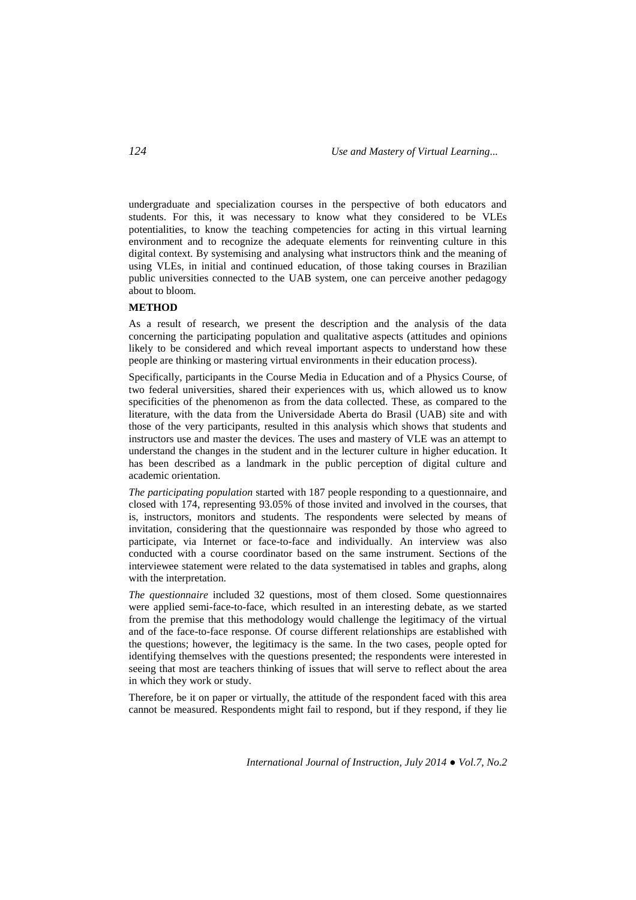undergraduate and specialization courses in the perspective of both educators and students. For this, it was necessary to know what they considered to be VLEs potentialities, to know the teaching competencies for acting in this virtual learning environment and to recognize the adequate elements for reinventing culture in this digital context. By systemising and analysing what instructors think and the meaning of using VLEs, in initial and continued education, of those taking courses in Brazilian public universities connected to the UAB system, one can perceive another pedagogy about to bloom.

# **METHOD**

As a result of research, we present the description and the analysis of the data concerning the participating population and qualitative aspects (attitudes and opinions likely to be considered and which reveal important aspects to understand how these people are thinking or mastering virtual environments in their education process).

Specifically, participants in the Course Media in Education and of a Physics Course, of two federal universities, shared their experiences with us, which allowed us to know specificities of the phenomenon as from the data collected. These, as compared to the literature, with the data from the Universidade Aberta do Brasil (UAB) site and with those of the very participants, resulted in this analysis which shows that students and instructors use and master the devices. The uses and mastery of VLE was an attempt to understand the changes in the student and in the lecturer culture in higher education. It has been described as a landmark in the public perception of digital culture and academic orientation.

*The participating population* started with 187 people responding to a questionnaire, and closed with 174, representing 93.05% of those invited and involved in the courses, that is, instructors, monitors and students. The respondents were selected by means of invitation, considering that the questionnaire was responded by those who agreed to participate, via Internet or face-to-face and individually. An interview was also conducted with a course coordinator based on the same instrument. Sections of the interviewee statement were related to the data systematised in tables and graphs, along with the interpretation.

*The questionnaire* included 32 questions, most of them closed. Some questionnaires were applied semi-face-to-face, which resulted in an interesting debate, as we started from the premise that this methodology would challenge the legitimacy of the virtual and of the face-to-face response. Of course different relationships are established with the questions; however, the legitimacy is the same. In the two cases, people opted for identifying themselves with the questions presented; the respondents were interested in seeing that most are teachers thinking of issues that will serve to reflect about the area in which they work or study.

Therefore, be it on paper or virtually, the attitude of the respondent faced with this area cannot be measured. Respondents might fail to respond, but if they respond, if they lie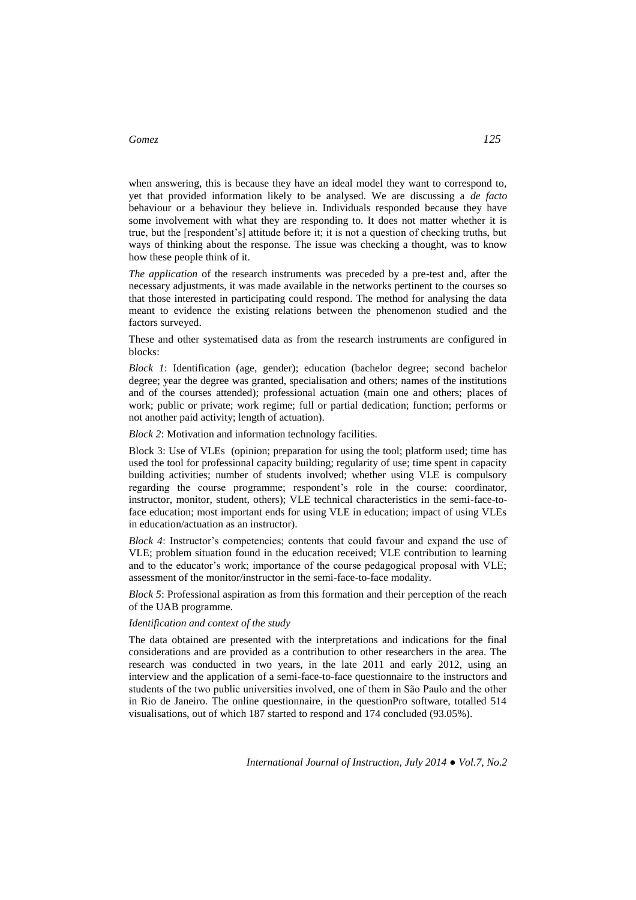when answering, this is because they have an ideal model they want to correspond to, yet that provided information likely to be analysed. We are discussing a *de facto* behaviour or a behaviour they believe in. Individuals responded because they have some involvement with what they are responding to. It does not matter whether it is true, but the [respondent's] attitude before it; it is not a question of checking truths, but ways of thinking about the response. The issue was checking a thought, was to know how these people think of it.

*The application* of the research instruments was preceded by a pre-test and, after the necessary adjustments, it was made available in the networks pertinent to the courses so that those interested in participating could respond. The method for analysing the data meant to evidence the existing relations between the phenomenon studied and the factors surveyed.

These and other systematised data as from the research instruments are configured in blocks:

*Block 1*: Identification (age, gender); education (bachelor degree; second bachelor degree; year the degree was granted, specialisation and others; names of the institutions and of the courses attended); professional actuation (main one and others; places of work; public or private; work regime; full or partial dedication; function; performs or not another paid activity; length of actuation).

*Block 2*: Motivation and information technology facilities.

Block 3: Use of VLEs (opinion; preparation for using the tool; platform used; time has used the tool for professional capacity building; regularity of use; time spent in capacity building activities; number of students involved; whether using VLE is compulsory regarding the course programme; respondent's role in the course: coordinator, instructor, monitor, student, others); VLE technical characteristics in the semi-face-toface education; most important ends for using VLE in education; impact of using VLEs in education/actuation as an instructor).

*Block 4*: Instructor's competencies; contents that could favour and expand the use of VLE; problem situation found in the education received; VLE contribution to learning and to the educator's work; importance of the course pedagogical proposal with VLE; assessment of the monitor/instructor in the semi-face-to-face modality.

*Block 5*: Professional aspiration as from this formation and their perception of the reach of the UAB programme.

#### *Identification and context of the study*

The data obtained are presented with the interpretations and indications for the final considerations and are provided as a contribution to other researchers in the area. The research was conducted in two years, in the late 2011 and early 2012, using an interview and the application of a semi-face-to-face questionnaire to the instructors and students of the two public universities involved, one of them in São Paulo and the other in Rio de Janeiro. The online questionnaire, in the questionPro software, totalled 514 visualisations, out of which 187 started to respond and 174 concluded (93.05%).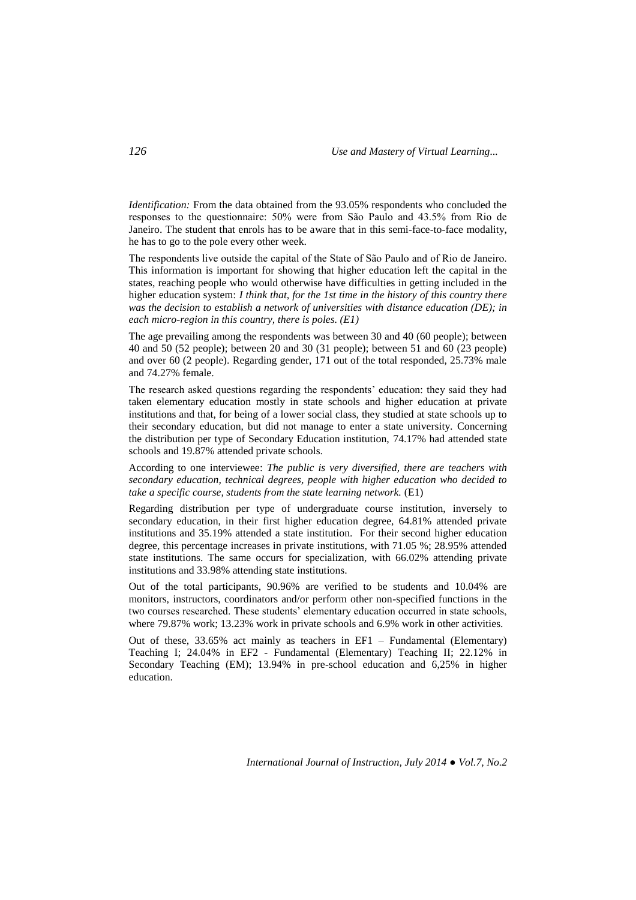*Identification:* From the data obtained from the 93.05% respondents who concluded the responses to the questionnaire: 50% were from São Paulo and 43.5% from Rio de Janeiro. The student that enrols has to be aware that in this semi-face-to-face modality, he has to go to the pole every other week.

The respondents live outside the capital of the State of São Paulo and of Rio de Janeiro. This information is important for showing that higher education left the capital in the states, reaching people who would otherwise have difficulties in getting included in the higher education system: *I think that, for the 1st time in the history of this country there was the decision to establish a network of universities with distance education (DE); in each micro-region in this country, there is poles. (E1)*

The age prevailing among the respondents was between 30 and 40 (60 people); between 40 and 50 (52 people); between 20 and 30 (31 people); between 51 and 60 (23 people) and over 60 (2 people). Regarding gender, 171 out of the total responded, 25.73% male and 74.27% female.

The research asked questions regarding the respondents' education: they said they had taken elementary education mostly in state schools and higher education at private institutions and that, for being of a lower social class, they studied at state schools up to their secondary education, but did not manage to enter a state university. Concerning the distribution per type of Secondary Education institution, 74.17% had attended state schools and 19.87% attended private schools.

According to one interviewee: *The public is very diversified, there are teachers with secondary education, technical degrees, people with higher education who decided to take a specific course, students from the state learning network.* (E1)

Regarding distribution per type of undergraduate course institution, inversely to secondary education, in their first higher education degree, 64.81% attended private institutions and 35.19% attended a state institution. For their second higher education degree, this percentage increases in private institutions, with 71.05 %; 28.95% attended state institutions. The same occurs for specialization, with 66.02% attending private institutions and 33.98% attending state institutions.

Out of the total participants, 90.96% are verified to be students and 10.04% are monitors, instructors, coordinators and/or perform other non-specified functions in the two courses researched. These students' elementary education occurred in state schools, where 79.87% work; 13.23% work in private schools and 6.9% work in other activities.

Out of these, 33.65% act mainly as teachers in EF1 – Fundamental (Elementary) Teaching I; 24.04% in EF2 - Fundamental (Elementary) Teaching II; 22.12% in Secondary Teaching (EM); 13.94% in pre-school education and 6,25% in higher education.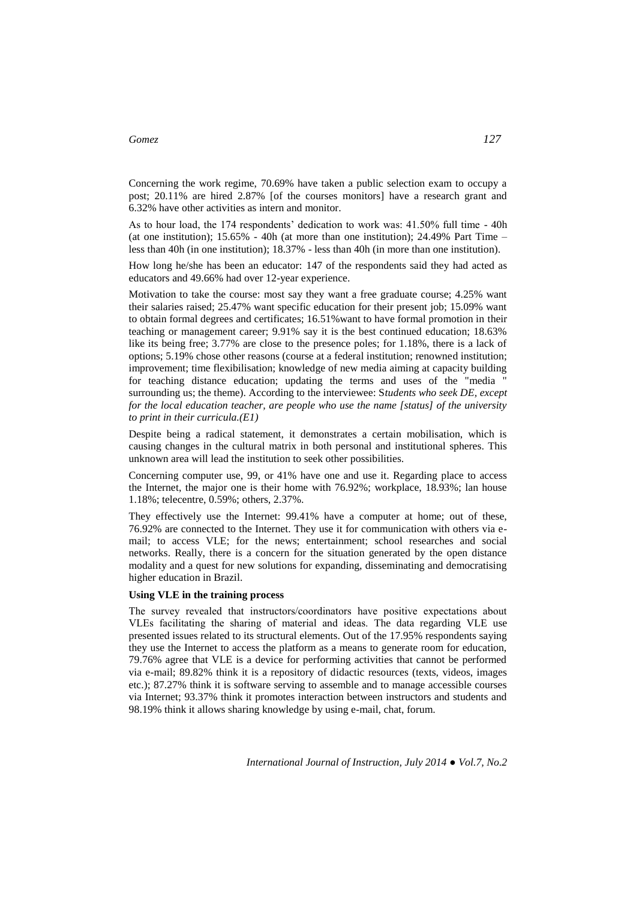Concerning the work regime, 70.69% have taken a public selection exam to occupy a post; 20.11% are hired 2.87% [of the courses monitors] have a research grant and 6.32% have other activities as intern and monitor.

As to hour load, the 174 respondents' dedication to work was: 41.50% full time - 40h (at one institution);  $15.65\%$  - 40h (at more than one institution);  $24.49\%$  Part Time – less than 40h (in one institution); 18.37% - less than 40h (in more than one institution).

How long he/she has been an educator: 147 of the respondents said they had acted as educators and 49.66% had over 12-year experience.

Motivation to take the course: most say they want a free graduate course; 4.25% want their salaries raised; 25.47% want specific education for their present job; 15.09% want to obtain formal degrees and certificates; 16.51%want to have formal promotion in their teaching or management career; 9.91% say it is the best continued education; 18.63% like its being free; 3.77% are close to the presence poles; for 1.18%, there is a lack of options; 5.19% chose other reasons (course at a federal institution; renowned institution; improvement; time flexibilisation; knowledge of new media aiming at capacity building for teaching distance education; updating the terms and uses of the "media " surrounding us; the theme). According to the interviewee: S*tudents who seek DE, except for the local education teacher, are people who use the name [status] of the university to print in their curricula.(E1)*

Despite being a radical statement, it demonstrates a certain mobilisation, which is causing changes in the cultural matrix in both personal and institutional spheres. This unknown area will lead the institution to seek other possibilities.

Concerning computer use, 99, or 41% have one and use it. Regarding place to access the Internet, the major one is their home with 76.92%; workplace, 18.93%; lan house 1.18%; telecentre, 0.59%; others, 2.37%.

They effectively use the Internet: 99.41% have a computer at home; out of these, 76.92% are connected to the Internet. They use it for communication with others via email; to access VLE; for the news; entertainment; school researches and social networks. Really, there is a concern for the situation generated by the open distance modality and a quest for new solutions for expanding, disseminating and democratising higher education in Brazil.

#### **Using VLE in the training process**

The survey revealed that instructors/coordinators have positive expectations about VLEs facilitating the sharing of material and ideas. The data regarding VLE use presented issues related to its structural elements. Out of the 17.95% respondents saying they use the Internet to access the platform as a means to generate room for education, 79.76% agree that VLE is a device for performing activities that cannot be performed via e-mail; 89.82% think it is a repository of didactic resources (texts, videos, images etc.); 87.27% think it is software serving to assemble and to manage accessible courses via Internet; 93.37% think it promotes interaction between instructors and students and 98.19% think it allows sharing knowledge by using e-mail, chat, forum.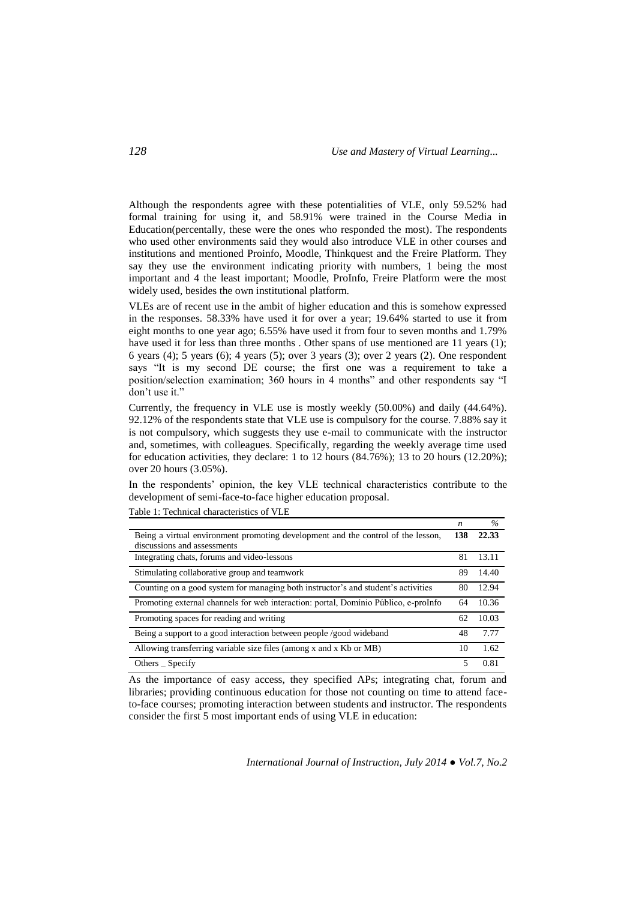Although the respondents agree with these potentialities of VLE, only 59.52% had formal training for using it, and 58.91% were trained in the Course Media in Education(percentally, these were the ones who responded the most). The respondents who used other environments said they would also introduce VLE in other courses and institutions and mentioned Proinfo, Moodle, Thinkquest and the Freire Platform. They say they use the environment indicating priority with numbers, 1 being the most important and 4 the least important; Moodle, ProInfo, Freire Platform were the most widely used, besides the own institutional platform.

VLEs are of recent use in the ambit of higher education and this is somehow expressed in the responses. 58.33% have used it for over a year; 19.64% started to use it from eight months to one year ago; 6.55% have used it from four to seven months and 1.79% have used it for less than three months . Other spans of use mentioned are 11 years (1); 6 years (4); 5 years (6); 4 years (5); over 3 years (3); over 2 years (2). One respondent says "It is my second DE course; the first one was a requirement to take a position/selection examination; 360 hours in 4 months" and other respondents say "I don't use it."

Currently, the frequency in VLE use is mostly weekly (50.00%) and daily (44.64%). 92.12% of the respondents state that VLE use is compulsory for the course. 7.88% say it is not compulsory, which suggests they use e-mail to communicate with the instructor and, sometimes, with colleagues. Specifically, regarding the weekly average time used for education activities, they declare: 1 to 12 hours (84.76%); 13 to 20 hours (12.20%); over 20 hours (3.05%).

In the respondents' opinion, the key VLE technical characteristics contribute to the development of semi-face-to-face higher education proposal.

|                                                                                     | n   | $\%$  |
|-------------------------------------------------------------------------------------|-----|-------|
| Being a virtual environment promoting development and the control of the lesson,    | 138 | 22.33 |
| discussions and assessments                                                         |     |       |
| Integrating chats, forums and video-lessons                                         | 81  | 13.11 |
| Stimulating collaborative group and teamwork                                        | 89  | 14.40 |
| Counting on a good system for managing both instructor's and student's activities   | 80  | 12.94 |
| Promoting external channels for web interaction: portal, Dominio Público, e-proInfo | 64  | 10.36 |
| Promoting spaces for reading and writing                                            | 62  | 10.03 |
| Being a support to a good interaction between people /good wideband                 | 48  | 7.77  |
| Allowing transferring variable size files (among x and x Kb or MB)                  | 10  | 1.62  |
| Others Specify                                                                      |     | 0.81  |

Table 1: Technical characteristics of VLE

As the importance of easy access, they specified APs; integrating chat, forum and libraries; providing continuous education for those not counting on time to attend faceto-face courses; promoting interaction between students and instructor. The respondents consider the first 5 most important ends of using VLE in education: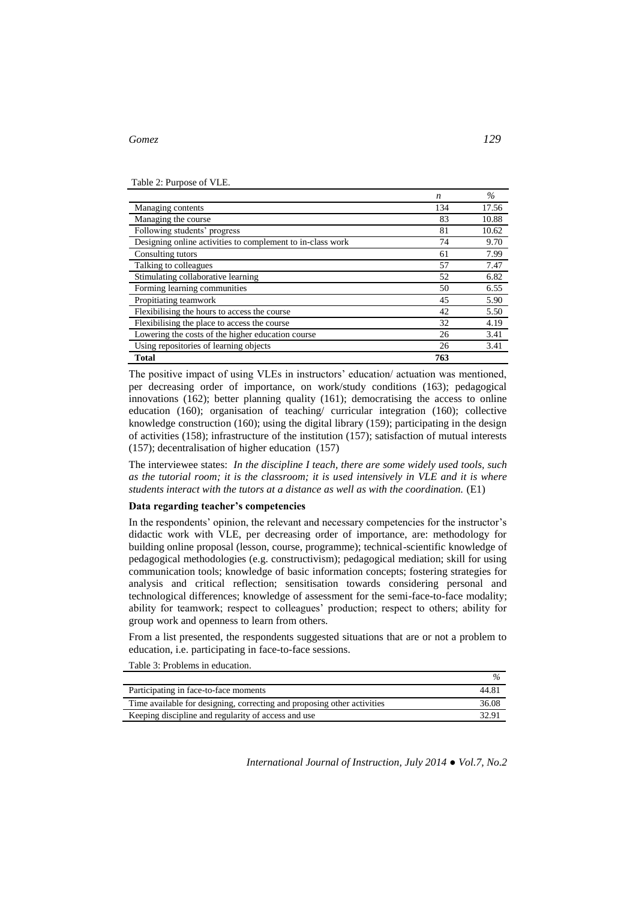Table 2: Purpose of VLE.

|                                                            | n   | $\%$  |
|------------------------------------------------------------|-----|-------|
| Managing contents                                          | 134 | 17.56 |
| Managing the course                                        | 83  | 10.88 |
| Following students' progress                               | 81  | 10.62 |
| Designing online activities to complement to in-class work | 74  | 9.70  |
| Consulting tutors                                          | 61  | 7.99  |
| Talking to colleagues                                      | 57  | 7.47  |
| Stimulating collaborative learning                         | 52  | 6.82  |
| Forming learning communities                               | 50  | 6.55  |
| Propitiating teamwork                                      | 45  | 5.90  |
| Flexibilising the hours to access the course               | 42  | 5.50  |
| Flexibilising the place to access the course               | 32  | 4.19  |
| Lowering the costs of the higher education course          | 26  | 3.41  |
| Using repositories of learning objects                     | 26  | 3.41  |
| Total                                                      | 763 |       |

The positive impact of using VLEs in instructors' education/ actuation was mentioned, per decreasing order of importance, on work/study conditions (163); pedagogical innovations  $(162)$ ; better planning quality  $(161)$ ; democratising the access to online education (160); organisation of teaching/ curricular integration (160); collective knowledge construction (160); using the digital library (159); participating in the design of activities (158); infrastructure of the institution (157); satisfaction of mutual interests (157); decentralisation of higher education (157)

The interviewee states: *In the discipline I teach, there are some widely used tools, such as the tutorial room; it is the classroom; it is used intensively in VLE and it is where students interact with the tutors at a distance as well as with the coordination.* (E1)

#### **Data regarding teacher's competencies**

In the respondents' opinion, the relevant and necessary competencies for the instructor's didactic work with VLE, per decreasing order of importance, are: methodology for building online proposal (lesson, course, programme); technical-scientific knowledge of pedagogical methodologies (e.g. constructivism); pedagogical mediation; skill for using communication tools; knowledge of basic information concepts; fostering strategies for analysis and critical reflection; sensitisation towards considering personal and technological differences; knowledge of assessment for the semi-face-to-face modality; ability for teamwork; respect to colleagues' production; respect to others; ability for group work and openness to learn from others.

From a list presented, the respondents suggested situations that are or not a problem to education, i.e. participating in face-to-face sessions.

Table 3: Problems in education.

| Participating in face-to-face moments                                   | 44.81 |
|-------------------------------------------------------------------------|-------|
| Time available for designing, correcting and proposing other activities | 36.08 |
| Keeping discipline and regularity of access and use                     | 32.9  |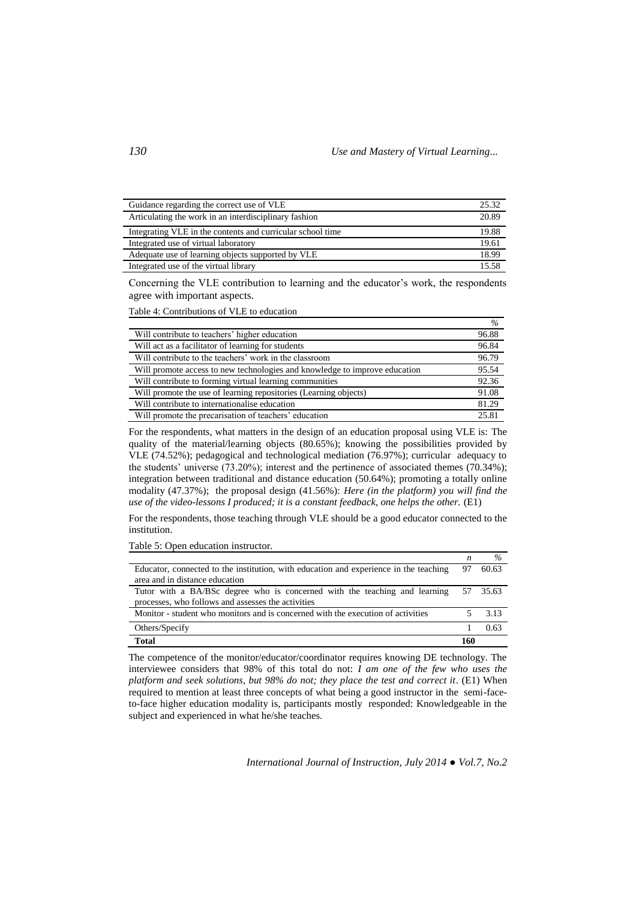| Guidance regarding the correct use of VLE                  | 25.32 |
|------------------------------------------------------------|-------|
| Articulating the work in an interdisciplinary fashion      | 20.89 |
| Integrating VLE in the contents and curricular school time | 19.88 |
| Integrated use of virtual laboratory                       | 19.61 |
| Adequate use of learning objects supported by VLE          | 18.99 |
| Integrated use of the virtual library                      | 15.58 |

Concerning the VLE contribution to learning and the educator's work, the respondents agree with important aspects.

Table 4: Contributions of VLE to education

|                                                                            | $\%$  |
|----------------------------------------------------------------------------|-------|
| Will contribute to teachers' higher education                              | 96.88 |
| Will act as a facilitator of learning for students                         | 96.84 |
| Will contribute to the teachers' work in the classroom                     | 96.79 |
| Will promote access to new technologies and knowledge to improve education | 95.54 |
| Will contribute to forming virtual learning communities                    | 92.36 |
| Will promote the use of learning repositories (Learning objects)           | 91.08 |
| Will contribute to internationalise education                              | 81.29 |
| Will promote the precarisation of teachers' education                      | 25.81 |

For the respondents, what matters in the design of an education proposal using VLE is: The quality of the material/learning objects (80.65%); knowing the possibilities provided by VLE (74.52%); pedagogical and technological mediation (76.97%); curricular adequacy to the students' universe (73.20%); interest and the pertinence of associated themes (70.34%); integration between traditional and distance education (50.64%); promoting a totally online modality (47.37%); the proposal design (41.56%): *Here (in the platform) you will find the use of the video-lessons I produced; it is a constant feedback, one helps the other.* (E1)

For the respondents, those teaching through VLE should be a good educator connected to the institution.

Table 5: Open education instructor*.* 

|                                                                                       | n   | $\%$     |
|---------------------------------------------------------------------------------------|-----|----------|
| Educator, connected to the institution, with education and experience in the teaching | 97  | 60.63    |
| area and in distance education                                                        |     |          |
| Tutor with a BA/BSc degree who is concerned with the teaching and learning            |     | 57 35.63 |
| processes, who follows and assesses the activities                                    |     |          |
| Monitor - student who monitors and is concerned with the execution of activities      |     | 3.13     |
| Others/Specify                                                                        |     | 0.63     |
| <b>Total</b>                                                                          | 160 |          |

The competence of the monitor/educator/coordinator requires knowing DE technology. The interviewee considers that 98% of this total do not: *I am one of the few who uses the platform and seek solutions, but 98% do not; they place the test and correct it*. (E1) When required to mention at least three concepts of what being a good instructor in the semi-faceto-face higher education modality is, participants mostly responded: Knowledgeable in the subject and experienced in what he/she teaches.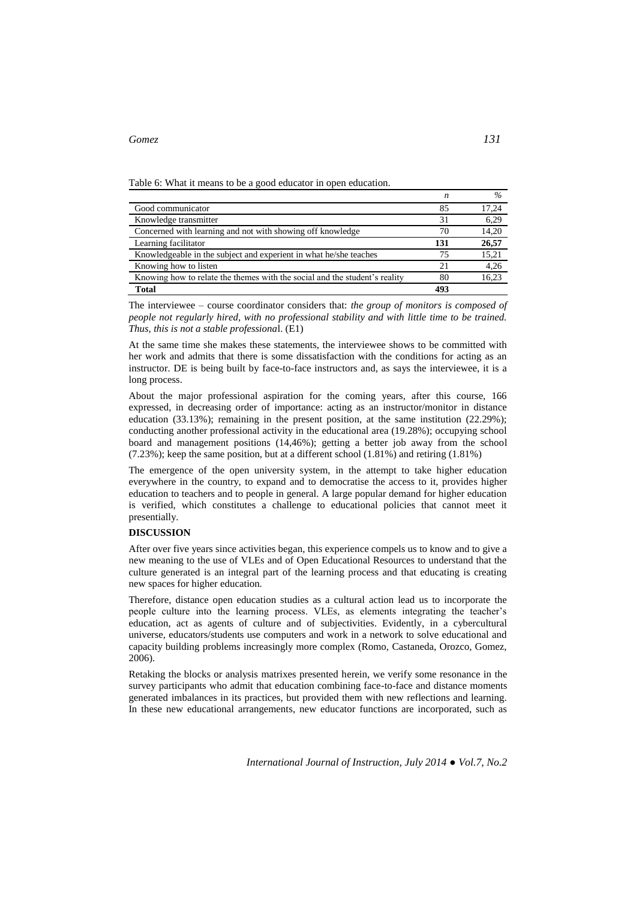Table 6: What it means to be a good educator in open education.

|                                                                            | n   | $\%$  |
|----------------------------------------------------------------------------|-----|-------|
| Good communicator                                                          | 85  | 17,24 |
| Knowledge transmitter                                                      | 31  | 6,29  |
| Concerned with learning and not with showing off knowledge                 | 70  | 14,20 |
| Learning facilitator                                                       | 131 | 26,57 |
| Knowledgeable in the subject and experient in what he/she teaches          | 75  | 15,21 |
| Knowing how to listen                                                      | 21  | 4,26  |
| Knowing how to relate the themes with the social and the student's reality | 80  | 16.23 |
| Total                                                                      | 493 |       |

The interviewee – course coordinator considers that: *the group of monitors is composed of people not regularly hired, with no professional stability and with little time to be trained. Thus, this is not a stable professiona*l. (E1)

At the same time she makes these statements, the interviewee shows to be committed with her work and admits that there is some dissatisfaction with the conditions for acting as an instructor. DE is being built by face-to-face instructors and, as says the interviewee, it is a long process.

About the major professional aspiration for the coming years, after this course, 166 expressed, in decreasing order of importance: acting as an instructor/monitor in distance education (33.13%); remaining in the present position, at the same institution (22.29%); conducting another professional activity in the educational area (19.28%); occupying school board and management positions (14,46%); getting a better job away from the school (7.23%); keep the same position, but at a different school (1.81%) and retiring (1.81%)

The emergence of the open university system, in the attempt to take higher education everywhere in the country, to expand and to democratise the access to it, provides higher education to teachers and to people in general. A large popular demand for higher education is verified, which constitutes a challenge to educational policies that cannot meet it presentially.

# **DISCUSSION**

After over five years since activities began, this experience compels us to know and to give a new meaning to the use of VLEs and of Open Educational Resources to understand that the culture generated is an integral part of the learning process and that educating is creating new spaces for higher education.

Therefore, distance open education studies as a cultural action lead us to incorporate the people culture into the learning process. VLEs, as elements integrating the teacher's education, act as agents of culture and of subjectivities. Evidently, in a cybercultural universe, educators/students use computers and work in a network to solve educational and capacity building problems increasingly more complex (Romo, Castaneda, Orozco, Gomez, 2006).

Retaking the blocks or analysis matrixes presented herein, we verify some resonance in the survey participants who admit that education combining face-to-face and distance moments generated imbalances in its practices, but provided them with new reflections and learning. In these new educational arrangements, new educator functions are incorporated, such as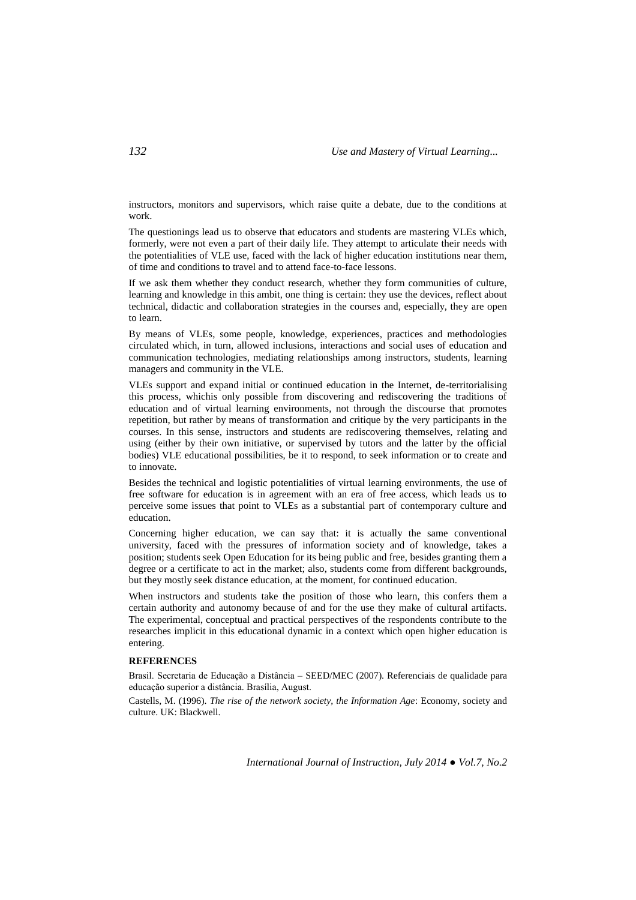instructors, monitors and supervisors, which raise quite a debate, due to the conditions at work.

The questionings lead us to observe that educators and students are mastering VLEs which, formerly, were not even a part of their daily life. They attempt to articulate their needs with the potentialities of VLE use, faced with the lack of higher education institutions near them, of time and conditions to travel and to attend face-to-face lessons.

If we ask them whether they conduct research, whether they form communities of culture, learning and knowledge in this ambit, one thing is certain: they use the devices, reflect about technical, didactic and collaboration strategies in the courses and, especially, they are open to learn.

By means of VLEs, some people, knowledge, experiences, practices and methodologies circulated which, in turn, allowed inclusions, interactions and social uses of education and communication technologies, mediating relationships among instructors, students, learning managers and community in the VLE.

VLEs support and expand initial or continued education in the Internet, de-territorialising this process, whichis only possible from discovering and rediscovering the traditions of education and of virtual learning environments, not through the discourse that promotes repetition, but rather by means of transformation and critique by the very participants in the courses. In this sense, instructors and students are rediscovering themselves, relating and using (either by their own initiative, or supervised by tutors and the latter by the official bodies) VLE educational possibilities, be it to respond, to seek information or to create and to innovate.

Besides the technical and logistic potentialities of virtual learning environments, the use of free software for education is in agreement with an era of free access, which leads us to perceive some issues that point to VLEs as a substantial part of contemporary culture and education.

Concerning higher education, we can say that: it is actually the same conventional university, faced with the pressures of information society and of knowledge, takes a position; students seek Open Education for its being public and free, besides granting them a degree or a certificate to act in the market; also, students come from different backgrounds, but they mostly seek distance education, at the moment, for continued education.

When instructors and students take the position of those who learn, this confers them a certain authority and autonomy because of and for the use they make of cultural artifacts. The experimental, conceptual and practical perspectives of the respondents contribute to the researches implicit in this educational dynamic in a context which open higher education is entering.

# **REFERENCES**

Brasil. Secretaria de Educação a Distância – SEED/MEC (2007). Referenciais de qualidade para educação superior a distância. Brasília, August.

Castells, M. (1996). *The rise of the network society, the Information Age*: Economy, society and culture. UK: Blackwell.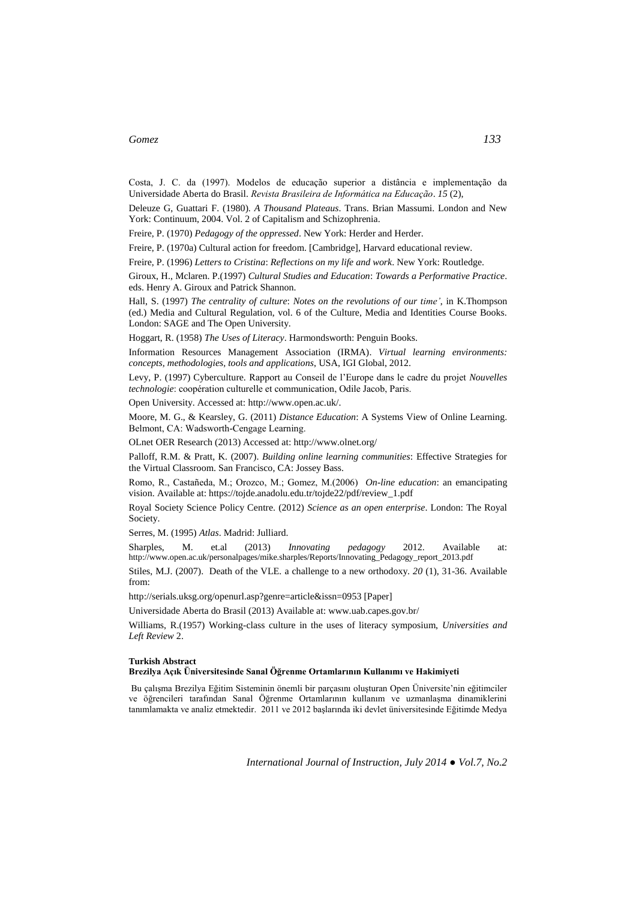Costa, J. C. da (1997). Modelos de educação superior a distância e implementação da Universidade Aberta do Brasil. *Revista Brasileira de Informática na Educação*. *15* (2),

Deleuze G, Guattari F. (1980). *A Thousand Plateaus*. Trans. Brian Massumi. London and New York: Continuum, 2004. Vol. 2 of Capitalism and Schizophrenia.

Freire, P. (1970) *Pedagogy of the oppressed*. New York: Herder and Herder.

Freire, P. (1970a) Cultural action for freedom. [Cambridge], Harvard educational review.

Freire, P. (1996) *Letters to Cristina*: *Reflections on my life and work*. New York: Routledge.

Giroux, H., Mclaren. P.(1997) *Cultural Studies and Education*: *Towards a Performative Practice*. eds. Henry A. Giroux and Patrick Shannon.

Hall, S. (1997) *The centrality of culture*: *Notes on the revolutions of our time'*, in K.Thompson (ed.) Media and Cultural Regulation, vol. 6 of the Culture, Media and Identities Course Books. London: SAGE and The Open University.

Hoggart, R. (1958) *The Uses of Literacy*. Harmondsworth: Penguin Books.

Information Resources Management Association (IRMA). *Virtual learning environments: concepts, methodologies, tools and applications*, USA, IGI Global, 2012.

Levy, P. (1997) Cyberculture. Rapport au Conseil de l'Europe dans le cadre du projet *Nouvelles technologie*: coopération culturelle et communication, Odile Jacob, Paris.

Open University. Accessed at: [http://www.open.ac.uk/.](http://www.open.ac.uk/)

Moore, M. G., & Kearsley, G. (2011) *Distance Education*: A Systems View of Online Learning. Belmont, CA: Wadsworth-Cengage Learning.

OLnet OER Research (2013) Accessed at: http://www.olnet.org/

Palloff, R.M. & Pratt, K. (2007). *Building online learning communities*: Effective Strategies for the Virtual Classroom. San Francisco, CA: Jossey Bass.

Romo, R., Castañeda, M.; Orozco, M.; Gomez, M.(2006) *On-line education*: an emancipating vision. Available at: https://tojde.anadolu.edu.tr/tojde22/pdf/review\_1.pdf

Royal Society Science Policy Centre. (2012) *Science as an open enterprise*. London: The Royal Society.

Serres, M. (1995) *Atlas*. Madrid: Julliard.

Sharples, M. et.al (2013) *Innovating pedagogy* 2012. Available at: [http://www.open.ac.uk/personalpages/mike.sharples/Reports/Innovating\\_Pedagogy\\_report\\_2013.pdf](http://www.open.ac.uk/personalpages/mike.sharples/Reports/Innovating_Pedagogy_report_2013.pdf)

Stiles, M.J. (2007). Death of the VLE. a challenge to a new orthodoxy. *20* (1), 31-36. Available from:

http://serials.uksg.org/openurl.asp?genre=article&issn=0953 [Paper]

Universidade Aberta do Brasil (2013) Available at: www.uab.capes.gov.br/

Williams, R.(1957) Working-class culture in the uses of literacy symposium, *Universities and Left Review* 2.

#### **Turkish Abstract**

**Brezilya Açık Üniversitesinde Sanal Öğrenme Ortamlarının Kullanımı ve Hakimiyeti** 

Bu çalışma Brezilya Eğitim Sisteminin önemli bir parçasını oluşturan Open Üniversite'nin eğitimciler ve öğrencileri tarafından Sanal Öğrenme Ortamlarının kullanım ve uzmanlaşma dinamiklerini tanımlamakta ve analiz etmektedir. 2011 ve 2012 başlarında iki devlet üniversitesinde Eğitimde Medya